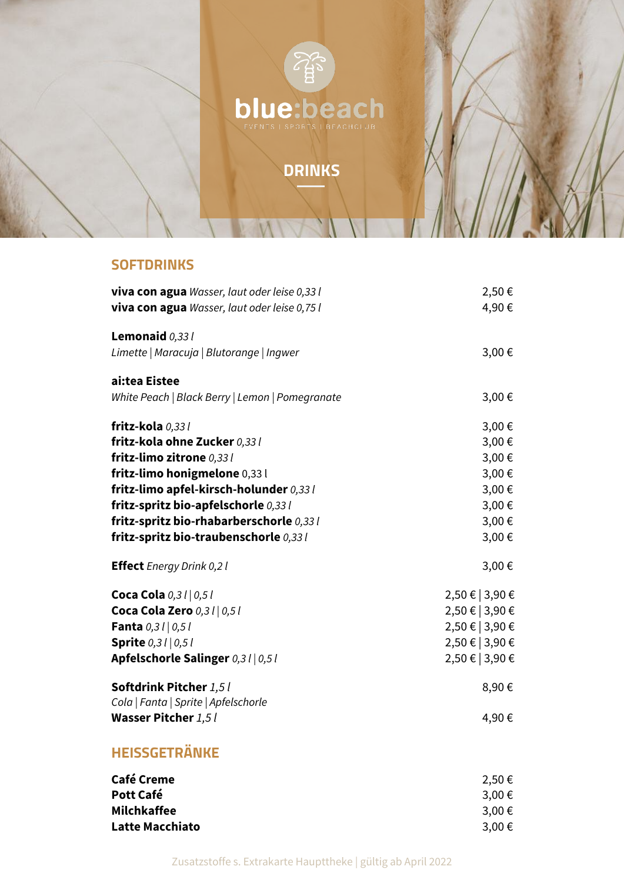

# **DRINKS**

#### **SOFTDRINKS**

| viva con agua Wasser, laut oder leise 0,33 l    | 2,50€         |
|-------------------------------------------------|---------------|
| viva con agua Wasser, laut oder leise 0,75 l    | 4,90€         |
| Lemonaid 0,33 l                                 |               |
| Limette   Maracuja   Blutorange   Ingwer        | 3,00€         |
| ai:tea Eistee                                   |               |
| White Peach   Black Berry   Lemon   Pomegranate | 3,00€         |
| fritz-kola 0,33 /                               | 3,00€         |
| fritz-kola ohne Zucker 0,33 l                   | 3,00€         |
| fritz-limo zitrone 0,33 l                       | 3,00€         |
| fritz-limo honigmelone 0,33 l                   | 3,00€         |
| fritz-limo apfel-kirsch-holunder 0,33 l         | 3,00€         |
| fritz-spritz bio-apfelschorle 0,33 l            | 3,00€         |
| fritz-spritz bio-rhabarberschorle 0,33 l        | 3,00€         |
| fritz-spritz bio-traubenschorle 0,33 l          | 3,00€         |
| <b>Effect</b> Energy Drink 0,2 l                | 3,00€         |
| Coca Cola 0,3 l   0,5 l                         | 2,50 € 3,90 € |
| Coca Cola Zero 0,31   0,51                      | 2,50 € 3,90 € |
| Fanta 0,31 0,51                                 | 2,50 € 3,90 € |
| Sprite 0,31 0,51                                | 2,50 € 3,90 € |
| Apfelschorle Salinger 0,3 l   0,5 l             | 2,50 € 3,90 € |
| Softdrink Pitcher 1,5 l                         | 8,90€         |
| Cola   Fanta   Sprite   Apfelschorle            |               |
| Wasser Pitcher $1,5$ $\mathit{l}$               | 4,90€         |
| <b>HEISSGETRÄNKE</b>                            |               |
| Café Cromo                                      | 2.50E         |

| 2,50€  |
|--------|
| 3,00 € |
| 3,00 € |
| 3,00€  |
|        |

Zusatzstoffe s. Extrakarte Haupttheke | gültig ab April 2022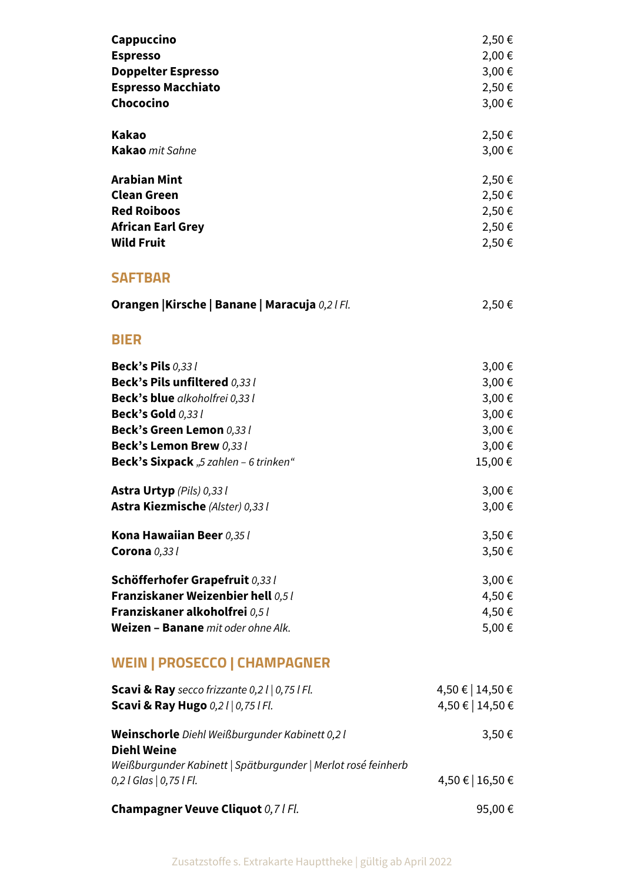| Cappuccino                                                           | 2,50€            |
|----------------------------------------------------------------------|------------------|
| <b>Espresso</b>                                                      | 2,00€            |
| <b>Doppelter Espresso</b>                                            | 3,00€            |
| <b>Espresso Macchiato</b>                                            | 2,50€            |
| Chococino                                                            | 3,00€            |
| <b>Kakao</b>                                                         | 2,50 €           |
| Kakao mit Sahne                                                      | 3,00€            |
| <b>Arabian Mint</b>                                                  | 2,50€            |
| <b>Clean Green</b>                                                   | 2,50 €           |
| <b>Red Roiboos</b>                                                   | 2,50 €           |
| <b>African Earl Grey</b>                                             | 2,50 €           |
| <b>Wild Fruit</b>                                                    | 2,50 €           |
| <b>SAFTBAR</b>                                                       |                  |
| Orangen   Kirsche   Banane   Maracuja 0,2   Fl.                      | 2,50 €           |
| <b>BIER</b>                                                          |                  |
| <b>Beck's Pils 0,331</b>                                             | 3,00€            |
| Beck's Pils unfiltered 0,331                                         | 3,00€            |
| Beck's blue alkoholfrei 0,33 l                                       | 3,00€            |
| <b>Beck's Gold 0,331</b>                                             | 3,00€            |
| Beck's Green Lemon 0,33 l                                            | 3,00€            |
| Beck's Lemon Brew 0,33 l                                             | 3,00€            |
| <b>Beck's Sixpack</b> "5 zahlen - 6 trinken"                         | 15,00€           |
| Astra Urtyp (Pils) 0,33 l                                            | 3,00€            |
| Astra Kiezmische (Alster) 0,33 l                                     | 3,00€            |
| Kona Hawaiian Beer 0,35 l                                            | 3,50€            |
| Corona $0,331$                                                       | 3,50€            |
| Schöfferhofer Grapefruit 0,33 l                                      | 3,00€            |
| Franziskaner Weizenbier hell 0,5 l                                   | 4,50€            |
| Franziskaner alkoholfrei 0,5 l                                       | 4,50€            |
| Weizen - Banane mit oder ohne Alk.                                   | 5,00€            |
| <b>WEIN   PROSECCO   CHAMPAGNER</b>                                  |                  |
| <b>Scavi &amp; Ray</b> secco frizzante $0,2$ l $\vert 0,75$ l Fl.    | 4,50 €   14,50 € |
| <b>Scavi &amp; Ray Hugo</b> 0,21   0,75   Fl.                        | 4,50 €   14,50 € |
| Weinschorle Diehl Weißburgunder Kabinett 0,2 l<br><b>Diehl Weine</b> | 3,50€            |
| Weißburgunder Kabinett   Spätburgunder   Merlot rosé feinherb        |                  |
| $0,2$   Glas $ 0,75$   Fl.                                           | 4,50 €   16,50 € |
| Champagner Veuve Cliquot 0,7 l Fl.                                   | 95,00€           |

Zusatzstoffe s. Extrakarte Haupttheke | gültig ab April 2022